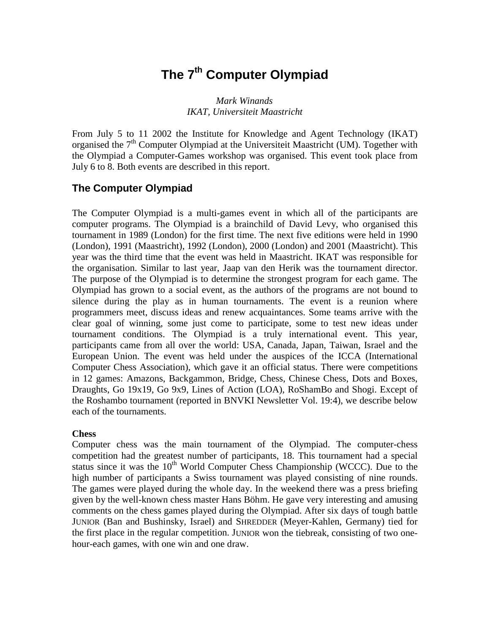# **The 7th Computer Olympiad**

#### *Mark Winands IKAT, Universiteit Maastricht*

From July 5 to 11 2002 the Institute for Knowledge and Agent Technology (IKAT) organised the  $7<sup>th</sup>$  Computer Olympiad at the Universiteit Maastricht (UM). Together with the Olympiad a Computer-Games workshop was organised. This event took place from July 6 to 8. Both events are described in this report.

## **The Computer Olympiad**

The Computer Olympiad is a multi-games event in which all of the participants are computer programs. The Olympiad is a brainchild of David Levy, who organised this tournament in 1989 (London) for the first time. The next five editions were held in 1990 (London), 1991 (Maastricht), 1992 (London), 2000 (London) and 2001 (Maastricht). This year was the third time that the event was held in Maastricht. IKAT was responsible for the organisation. Similar to last year, Jaap van den Herik was the tournament director. The purpose of the Olympiad is to determine the strongest program for each game. The Olympiad has grown to a social event, as the authors of the programs are not bound to silence during the play as in human tournaments. The event is a reunion where programmers meet, discuss ideas and renew acquaintances. Some teams arrive with the clear goal of winning, some just come to participate, some to test new ideas under tournament conditions. The Olympiad is a truly international event. This year, participants came from all over the world: USA, Canada, Japan, Taiwan, Israel and the European Union. The event was held under the auspices of the ICCA (International Computer Chess Association), which gave it an official status. There were competitions in 12 games: Amazons, Backgammon, Bridge, Chess, Chinese Chess, Dots and Boxes, Draughts, Go 19x19, Go 9x9, Lines of Action (LOA), RoShamBo and Shogi. Except of the Roshambo tournament (reported in BNVKI Newsletter Vol. 19:4), we describe below each of the tournaments.

#### **Chess**

Computer chess was the main tournament of the Olympiad. The computer-chess competition had the greatest number of participants, 18. This tournament had a special status since it was the  $10<sup>th</sup>$  World Computer Chess Championship (WCCC). Due to the high number of participants a Swiss tournament was played consisting of nine rounds. The games were played during the whole day. In the weekend there was a press briefing given by the well-known chess master Hans Böhm. He gave very interesting and amusing comments on the chess games played during the Olympiad. After six days of tough battle JUNIOR (Ban and Bushinsky, Israel) and SHREDDER (Meyer-Kahlen, Germany) tied for the first place in the regular competition. JUNIOR won the tiebreak, consisting of two onehour-each games, with one win and one draw.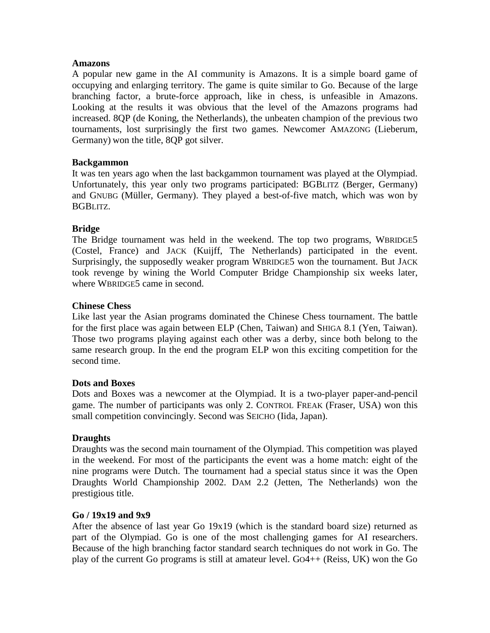#### **Amazons**

A popular new game in the AI community is Amazons. It is a simple board game of occupying and enlarging territory. The game is quite similar to Go. Because of the large branching factor, a brute-force approach, like in chess, is unfeasible in Amazons. Looking at the results it was obvious that the level of the Amazons programs had increased. 8QP (de Koning, the Netherlands), the unbeaten champion of the previous two tournaments, lost surprisingly the first two games. Newcomer AMAZONG (Lieberum, Germany) won the title, 8QP got silver.

#### **Backgammon**

It was ten years ago when the last backgammon tournament was played at the Olympiad. Unfortunately, this year only two programs participated: BGBLITZ (Berger, Germany) and GNUBG (Müller, Germany). They played a best-of-five match, which was won by BGBLITZ.

#### **Bridge**

The Bridge tournament was held in the weekend. The top two programs, WBRIDGE5 (Costel, France) and JACK (Kuijff, The Netherlands) participated in the event. Surprisingly, the supposedly weaker program WBRIDGE5 won the tournament. But JACK took revenge by wining the World Computer Bridge Championship six weeks later, where WBRIDGE5 came in second.

#### **Chinese Chess**

Like last year the Asian programs dominated the Chinese Chess tournament. The battle for the first place was again between ELP (Chen, Taiwan) and SHIGA 8.1 (Yen, Taiwan). Those two programs playing against each other was a derby, since both belong to the same research group. In the end the program ELP won this exciting competition for the second time.

#### **Dots and Boxes**

Dots and Boxes was a newcomer at the Olympiad. It is a two-player paper-and-pencil game. The number of participants was only 2. CONTROL FREAK (Fraser, USA) won this small competition convincingly. Second was SEICHO (Iida, Japan).

#### **Draughts**

Draughts was the second main tournament of the Olympiad. This competition was played in the weekend. For most of the participants the event was a home match: eight of the nine programs were Dutch. The tournament had a special status since it was the Open Draughts World Championship 2002. DAM 2.2 (Jetten, The Netherlands) won the prestigious title.

#### **Go / 19x19 and 9x9**

After the absence of last year Go 19x19 (which is the standard board size) returned as part of the Olympiad. Go is one of the most challenging games for AI researchers. Because of the high branching factor standard search techniques do not work in Go. The play of the current Go programs is still at amateur level. GO4++ (Reiss, UK) won the Go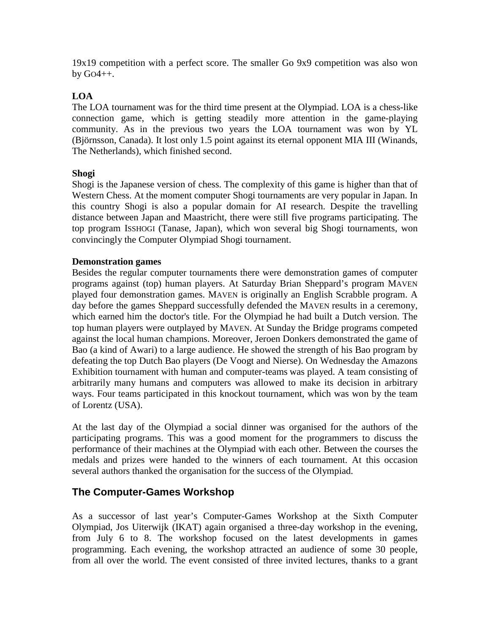19x19 competition with a perfect score. The smaller Go 9x9 competition was also won by GO4++.

#### **LOA**

The LOA tournament was for the third time present at the Olympiad. LOA is a chess-like connection game, which is getting steadily more attention in the game-playing community. As in the previous two years the LOA tournament was won by YL (Björnsson, Canada). It lost only 1.5 point against its eternal opponent MIA III (Winands, The Netherlands), which finished second.

#### **Shogi**

Shogi is the Japanese version of chess. The complexity of this game is higher than that of Western Chess. At the moment computer Shogi tournaments are very popular in Japan. In this country Shogi is also a popular domain for AI research. Despite the travelling distance between Japan and Maastricht, there were still five programs participating. The top program ISSHOGI (Tanase, Japan), which won several big Shogi tournaments, won convincingly the Computer Olympiad Shogi tournament.

#### **Demonstration games**

Besides the regular computer tournaments there were demonstration games of computer programs against (top) human players. At Saturday Brian Sheppard's program MAVEN played four demonstration games. MAVEN is originally an English Scrabble program. A day before the games Sheppard successfully defended the MAVEN results in a ceremony, which earned him the doctor's title. For the Olympiad he had built a Dutch version. The top human players were outplayed by MAVEN. At Sunday the Bridge programs competed against the local human champions. Moreover, Jeroen Donkers demonstrated the game of Bao (a kind of Awari) to a large audience. He showed the strength of his Bao program by defeating the top Dutch Bao players (De Voogt and Nierse). On Wednesday the Amazons Exhibition tournament with human and computer-teams was played. A team consisting of arbitrarily many humans and computers was allowed to make its decision in arbitrary ways. Four teams participated in this knockout tournament, which was won by the team of Lorentz (USA).

At the last day of the Olympiad a social dinner was organised for the authors of the participating programs. This was a good moment for the programmers to discuss the performance of their machines at the Olympiad with each other. Between the courses the medals and prizes were handed to the winners of each tournament. At this occasion several authors thanked the organisation for the success of the Olympiad.

## **The Computer-Games Workshop**

As a successor of last year's Computer-Games Workshop at the Sixth Computer Olympiad, Jos Uiterwijk (IKAT) again organised a three-day workshop in the evening, from July 6 to 8. The workshop focused on the latest developments in games programming. Each evening, the workshop attracted an audience of some 30 people, from all over the world. The event consisted of three invited lectures, thanks to a grant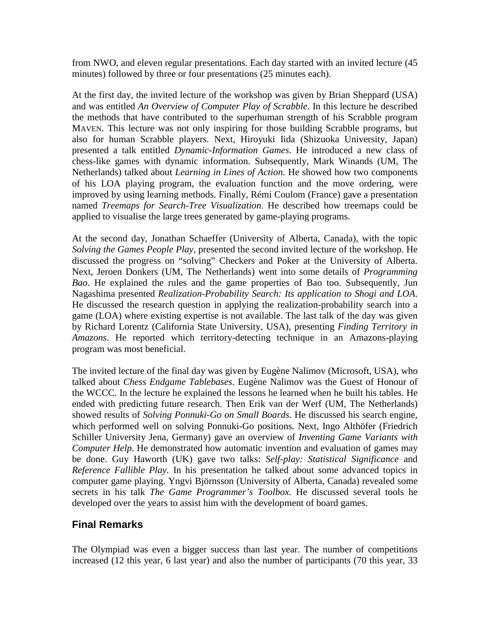from NWO, and eleven regular presentations. Each day started with an invited lecture (45 minutes) followed by three or four presentations (25 minutes each).

At the first day, the invited lecture of the workshop was given by Brian Sheppard (USA) and was entitled *An Overview of Computer Play of Scrabble*. In this lecture he described the methods that have contributed to the superhuman strength of his Scrabble program MAVEN. This lecture was not only inspiring for those building Scrabble programs, but also for human Scrabble players. Next, Hiroyuki Iida (Shizuoka University, Japan) presented a talk entitled *Dynamic-Information Games*. He introduced a new class of chess-like games with dynamic information. Subsequently, Mark Winands (UM, The Netherlands) talked about *Learning in Lines of Action*. He showed how two components of his LOA playing program, the evaluation function and the move ordering, were improved by using learning methods. Finally, Rémi Coulom (France) gave a presentation named *Treemaps for Search-Tree Visualization*. He described how treemaps could be applied to visualise the large trees generated by game-playing programs.

At the second day, Jonathan Schaeffer (University of Alberta, Canada), with the topic *Solving the Games People Play*, presented the second invited lecture of the workshop. He discussed the progress on "solving" Checkers and Poker at the University of Alberta. Next, Jeroen Donkers (UM, The Netherlands) went into some details of *Programming Bao*. He explained the rules and the game properties of Bao too. Subsequently, Jun Nagashima presented *Realization-Probability Search: Its application to Shogi and LOA*. He discussed the research question in applying the realization-probability search into a game (LOA) where existing expertise is not available. The last talk of the day was given by Richard Lorentz (California State University, USA), presenting *Finding Territory in Amazons*. He reported which territory-detecting technique in an Amazons-playing program was most beneficial.

The invited lecture of the final day was given by Eugène Nalimov (Microsoft, USA), who talked about *Chess Endgame Tablebases*. Eugène Nalimov was the Guest of Honour of the WCCC. In the lecture he explained the lessons he learned when he built his tables. He ended with predicting future research. Then Erik van der Werf (UM, The Netherlands) showed results of *Solving Ponnuki-Go on Small Boards*. He discussed his search engine, which performed well on solving Ponnuki-Go positions*.* Next, Ingo Althöfer (Friedrich Schiller University Jena, Germany) gave an overview of *Inventing Game Variants with Computer Help*. He demonstrated how automatic invention and evaluation of games may be done. Guy Haworth (UK) gave two talks: *Self-play: Statistical Significance* and *Reference Fallible Play*. In his presentation he talked about some advanced topics in computer game playing. Yngvi Björnsson (University of Alberta, Canada) revealed some secrets in his talk *The Game Programmer's Toolbox.* He discussed several tools he developed over the years to assist him with the development of board games.

## **Final Remarks**

The Olympiad was even a bigger success than last year. The number of competitions increased (12 this year, 6 last year) and also the number of participants (70 this year, 33